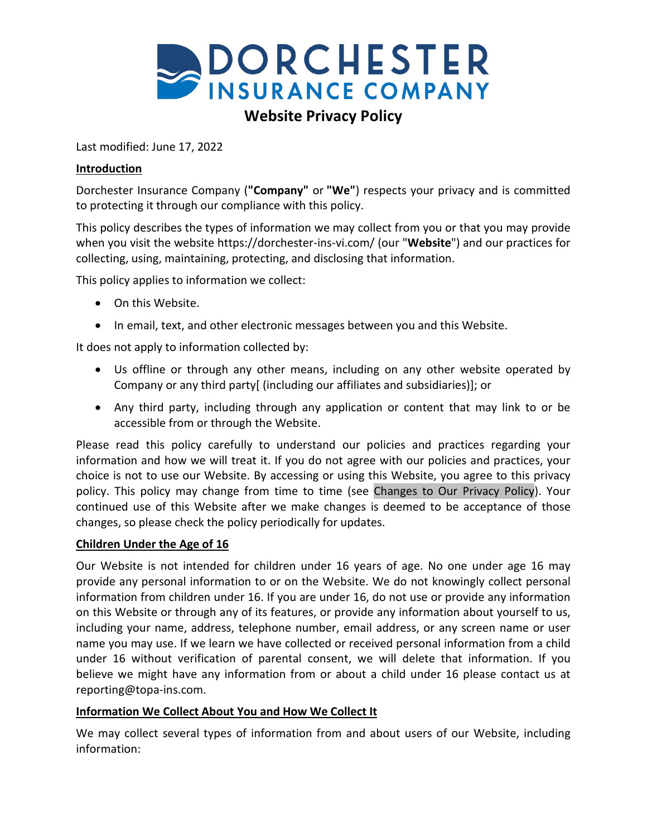

# **Website Privacy Policy**

Last modified: June 17, 2022

#### **Introduction**

Dorchester Insurance Company (**"Company"** or **"We"**) respects your privacy and is committed to protecting it through our compliance with this policy.

This policy describes the types of information we may collect from you or that you may provide when you visit the website https://dorchester-ins-vi.com/ (our "**Website**") and our practices for collecting, using, maintaining, protecting, and disclosing that information.

This policy applies to information we collect:

- On this Website.
- In email, text, and other electronic messages between you and this Website.

It does not apply to information collected by:

- Us offline or through any other means, including on any other website operated by Company or any third party[ (including our affiliates and subsidiaries)]; or
- Any third party, including through any application or content that may link to or be accessible from or through the Website.

Please read this policy carefully to understand our policies and practices regarding your information and how we will treat it. If you do not agree with our policies and practices, your choice is not to use our Website. By accessing or using this Website, you agree to this privacy policy. This policy may change from time to time (see [Changes to Our Privacy Policy\)](#page-5-0). Your continued use of this Website after we make changes is deemed to be acceptance of those changes, so please check the policy periodically for updates.

#### **Children Under the Age of 16**

Our Website is not intended for children under 16 years of age. No one under age 16 may provide any personal information to or on the Website. We do not knowingly collect personal information from children under 16. If you are under 16, do not use or provide any information on this Website or through any of its features, or provide any information about yourself to us, including your name, address, telephone number, email address, or any screen name or user name you may use. If we learn we have collected or received personal information from a child under 16 without verification of parental consent, we will delete that information. If you believe we might have any information from or about a child under 16 please contact us at [reporting@topa-ins.com.](mailto:reporting@topa-ins.com)

## **Information We Collect About You and How We Collect It**

We may collect several types of information from and about users of our Website, including information: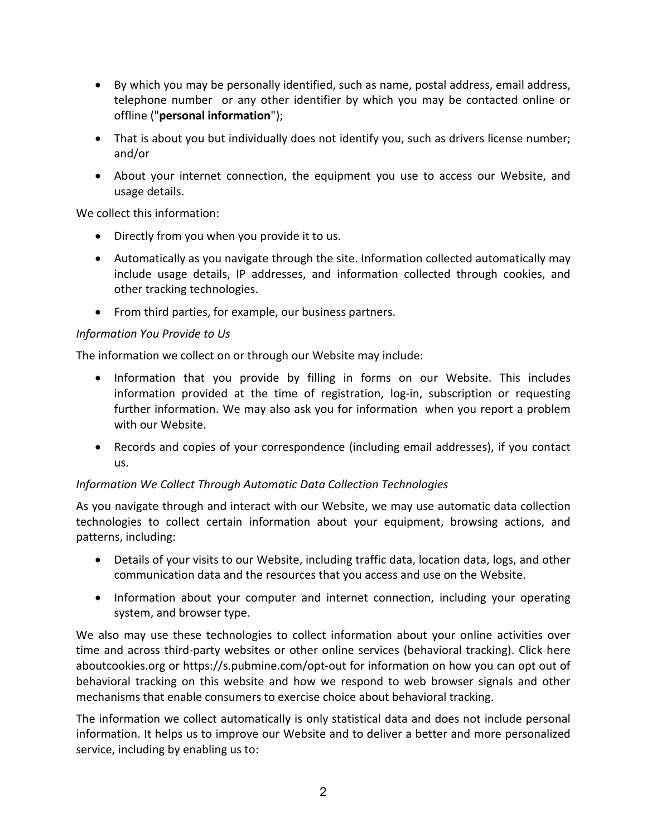- By which you may be personally identified, such as name, postal address, email address, telephone number or any other identifier by which you may be contacted online or offline ("**personal information**");
- That is about you but individually does not identify you, such as drivers license number; and/or
- About your internet connection, the equipment you use to access our Website, and usage details.

We collect this information:

- Directly from you when you provide it to us.
- Automatically as you navigate through the site. Information collected automatically may include usage details, IP addresses, and information collected through cookies, and other tracking technologies.
- From third parties, for example, our business partners.

## *Information You Provide to Us*

The information we collect on or through our Website may include:

- Information that you provide by filling in forms on our Website. This includes information provided at the time of registration, log-in, subscription or requesting further information. We may also ask you for information when you report a problem with our Website.
- Records and copies of your correspondence (including email addresses), if you contact us.

## *Information We Collect Through Automatic Data Collection Technologies*

As you navigate through and interact with our Website, we may use automatic data collection technologies to collect certain information about your equipment, browsing actions, and patterns, including:

- Details of your visits to our Website, including traffic data, location data, logs, and other communication data and the resources that you access and use on the Website.
- Information about your computer and internet connection, including your operating system, and browser type.

We also may use these technologies to collect information about your online activities over time and across third-party websites or other online services (behavioral tracking). Click here aboutcookies.org or<https://s.pubmine.com/opt-out> for information on how you can opt out of behavioral tracking on this website and how we respond to web browser signals and other mechanisms that enable consumers to exercise choice about behavioral tracking.

The information we collect automatically is only statistical data and does not include personal information. It helps us to improve our Website and to deliver a better and more personalized service, including by enabling us to: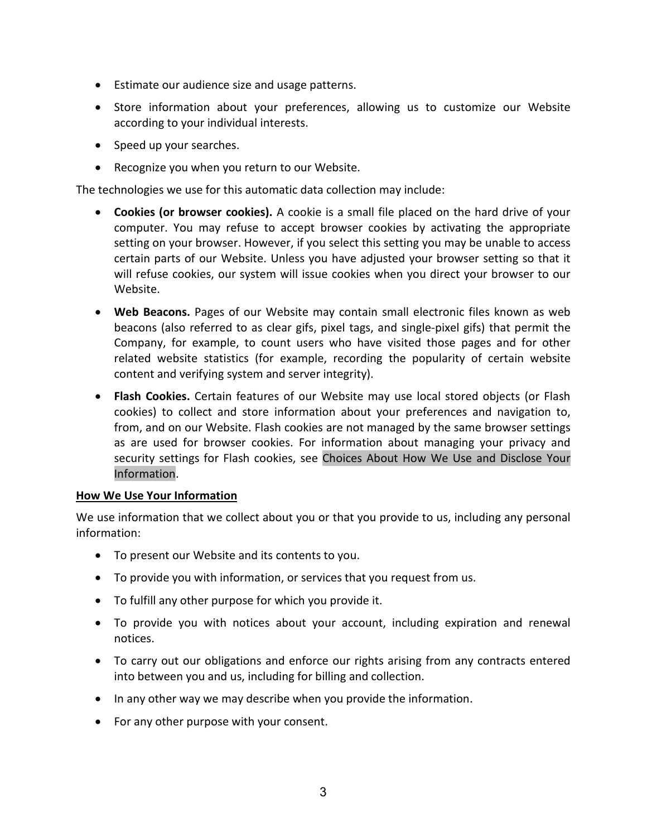- Estimate our audience size and usage patterns.
- Store information about your preferences, allowing us to customize our Website according to your individual interests.
- Speed up your searches.
- Recognize you when you return to our Website.

The technologies we use for this automatic data collection may include:

- **Cookies (or browser cookies).** A cookie is a small file placed on the hard drive of your computer. You may refuse to accept browser cookies by activating the appropriate setting on your browser. However, if you select this setting you may be unable to access certain parts of our Website. Unless you have adjusted your browser setting so that it will refuse cookies, our system will issue cookies when you direct your browser to our Website.
- **Web Beacons.** Pages of our Website may contain small electronic files known as web beacons (also referred to as clear gifs, pixel tags, and single-pixel gifs) that permit the Company, for example, to count users who have visited those pages and for other related website statistics (for example, recording the popularity of certain website content and verifying system and server integrity).
- **Flash Cookies.** Certain features of our Website may use local stored objects (or Flash cookies) to collect and store information about your preferences and navigation to, from, and on our Website. Flash cookies are not managed by the same browser settings as are used for browser cookies. For information about managing your privacy and security settings for Flash cookies, see [Choices About How We Use and Disclose](#page-4-0) Your [Information.](#page-4-0)

#### **How We Use Your Information**

We use information that we collect about you or that you provide to us, including any personal information:

- To present our Website and its contents to you.
- To provide you with information, or services that you request from us.
- To fulfill any other purpose for which you provide it.
- To provide you with notices about your account, including expiration and renewal notices.
- To carry out our obligations and enforce our rights arising from any contracts entered into between you and us, including for billing and collection.
- In any other way we may describe when you provide the information.
- For any other purpose with your consent.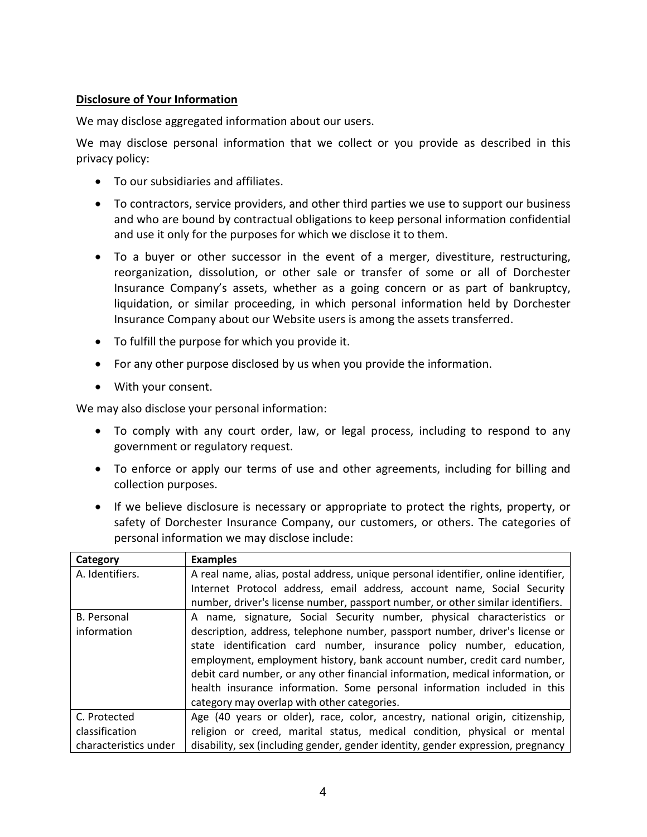## **Disclosure of Your Information**

We may disclose aggregated information about our users.

We may disclose personal information that we collect or you provide as described in this privacy policy:

- To our subsidiaries and affiliates.
- To contractors, service providers, and other third parties we use to support our business and who are bound by contractual obligations to keep personal information confidential and use it only for the purposes for which we disclose it to them.
- To a buyer or other successor in the event of a merger, divestiture, restructuring, reorganization, dissolution, or other sale or transfer of some or all of Dorchester Insurance Company's assets, whether as a going concern or as part of bankruptcy, liquidation, or similar proceeding, in which personal information held by Dorchester Insurance Company about our Website users is among the assets transferred.
- To fulfill the purpose for which you provide it.
- For any other purpose disclosed by us when you provide the information.
- With your consent.

We may also disclose your personal information:

- To comply with any court order, law, or legal process, including to respond to any government or regulatory request.
- To enforce or apply our terms of use and other agreements, including for billing and collection purposes.
- If we believe disclosure is necessary or appropriate to protect the rights, property, or safety of Dorchester Insurance Company, our customers, or others. The categories of personal information we may disclose include:

| Category              | <b>Examples</b>                                                                    |
|-----------------------|------------------------------------------------------------------------------------|
| A. Identifiers.       | A real name, alias, postal address, unique personal identifier, online identifier, |
|                       | Internet Protocol address, email address, account name, Social Security            |
|                       | number, driver's license number, passport number, or other similar identifiers.    |
| <b>B.</b> Personal    | A name, signature, Social Security number, physical characteristics or             |
| information           | description, address, telephone number, passport number, driver's license or       |
|                       | state identification card number, insurance policy number, education,              |
|                       | employment, employment history, bank account number, credit card number,           |
|                       | debit card number, or any other financial information, medical information, or     |
|                       | health insurance information. Some personal information included in this           |
|                       | category may overlap with other categories.                                        |
| C. Protected          | Age (40 years or older), race, color, ancestry, national origin, citizenship,      |
| classification        | religion or creed, marital status, medical condition, physical or mental           |
| characteristics under | disability, sex (including gender, gender identity, gender expression, pregnancy   |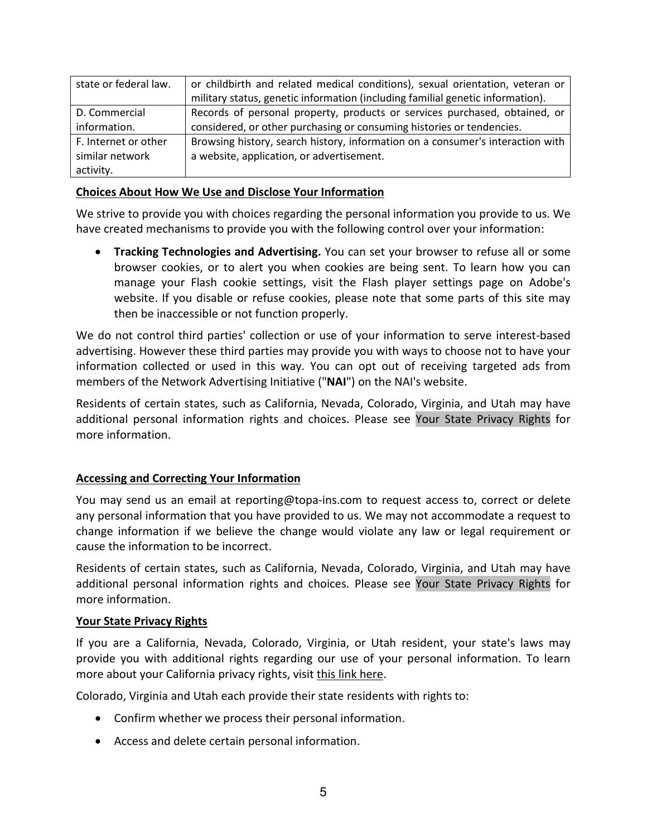| state or federal law. | or childbirth and related medical conditions), sexual orientation, veteran or  |
|-----------------------|--------------------------------------------------------------------------------|
|                       | military status, genetic information (including familial genetic information). |
| D. Commercial         | Records of personal property, products or services purchased, obtained, or     |
| information.          | considered, or other purchasing or consuming histories or tendencies.          |
| F. Internet or other  | Browsing history, search history, information on a consumer's interaction with |
| similar network       | a website, application, or advertisement.                                      |
| activity.             |                                                                                |

#### <span id="page-4-0"></span>**Choices About How We Use and Disclose Your Information**

We strive to provide you with choices regarding the personal information you provide to us. We have created mechanisms to provide you with the following control over your information:

• **Tracking Technologies and Advertising.** You can set your browser to refuse all or some browser cookies, or to alert you when cookies are being sent. To learn how you can manage your Flash cookie settings, visit the Flash player settings page on Adobe's website. If you disable or refuse cookies, please note that some parts of this site may then be inaccessible or not function properly.

We do not control third parties' collection or use of your information to serve interest-based advertising. However these third parties may provide you with ways to choose not to have your information collected or used in this way. You can opt out of receiving targeted ads from members of the Network Advertising Initiative ("**NAI**") on the NAI's website.

Residents of certain states, such as California, Nevada, Colorado, Virginia, and Utah may have additional personal information rights and choices. Please see Your State Privacy Rights for more information.

## **Accessing and Correcting Your Information**

You may send us an email at reporting@topa-ins.com to request access to, correct or delete any personal information that you have provided to us. We may not accommodate a request to change information if we believe the change would violate any law or legal requirement or cause the information to be incorrect.

Residents of certain states, such as California, Nevada, Colorado, Virginia, and Utah may have additional personal information rights and choices. Please see Your State Privacy Rights for more information.

#### **Your State Privacy Rights**

If you are a California, Nevada, Colorado, Virginia, or Utah resident, your state's laws may provide you with additional rights regarding our use of your personal information. To learn more about your California privacy rights, visit this link here.

Colorado, Virginia and Utah each provide their state residents with rights to:

- Confirm whether we process their personal information.
- Access and delete certain personal information.